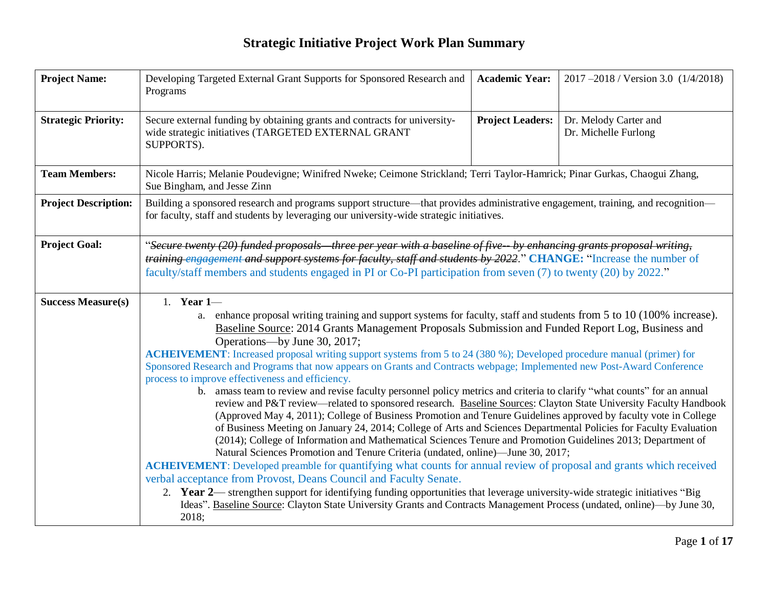| <b>Project Name:</b>        | Developing Targeted External Grant Supports for Sponsored Research and<br>Programs                                                                                                                                                                                                                                                                                                                                                                                                                                                                                                                                                                                                                                                                                                                                                                                                                                                                                                                                                                                                                                                                                                                                                                                                                                                                                                                                                                                                                                                                                                                                                                                                                                                                   | <b>Academic Year:</b>   | 2017-2018 / Version 3.0 (1/4/2018)            |  |  |  |
|-----------------------------|------------------------------------------------------------------------------------------------------------------------------------------------------------------------------------------------------------------------------------------------------------------------------------------------------------------------------------------------------------------------------------------------------------------------------------------------------------------------------------------------------------------------------------------------------------------------------------------------------------------------------------------------------------------------------------------------------------------------------------------------------------------------------------------------------------------------------------------------------------------------------------------------------------------------------------------------------------------------------------------------------------------------------------------------------------------------------------------------------------------------------------------------------------------------------------------------------------------------------------------------------------------------------------------------------------------------------------------------------------------------------------------------------------------------------------------------------------------------------------------------------------------------------------------------------------------------------------------------------------------------------------------------------------------------------------------------------------------------------------------------------|-------------------------|-----------------------------------------------|--|--|--|
| <b>Strategic Priority:</b>  | Secure external funding by obtaining grants and contracts for university-<br>wide strategic initiatives (TARGETED EXTERNAL GRANT<br>SUPPORTS).                                                                                                                                                                                                                                                                                                                                                                                                                                                                                                                                                                                                                                                                                                                                                                                                                                                                                                                                                                                                                                                                                                                                                                                                                                                                                                                                                                                                                                                                                                                                                                                                       | <b>Project Leaders:</b> | Dr. Melody Carter and<br>Dr. Michelle Furlong |  |  |  |
| <b>Team Members:</b>        | Nicole Harris; Melanie Poudevigne; Winifred Nweke; Ceimone Strickland; Terri Taylor-Hamrick; Pinar Gurkas, Chaogui Zhang,<br>Sue Bingham, and Jesse Zinn                                                                                                                                                                                                                                                                                                                                                                                                                                                                                                                                                                                                                                                                                                                                                                                                                                                                                                                                                                                                                                                                                                                                                                                                                                                                                                                                                                                                                                                                                                                                                                                             |                         |                                               |  |  |  |
| <b>Project Description:</b> | Building a sponsored research and programs support structure—that provides administrative engagement, training, and recognition—<br>for faculty, staff and students by leveraging our university-wide strategic initiatives.                                                                                                                                                                                                                                                                                                                                                                                                                                                                                                                                                                                                                                                                                                                                                                                                                                                                                                                                                                                                                                                                                                                                                                                                                                                                                                                                                                                                                                                                                                                         |                         |                                               |  |  |  |
| <b>Project Goal:</b>        | "Secure twenty (20) funded proposals three per year with a baseline of five-- by enhancing grants proposal writing,<br>training engagement and support systems for faculty, staff and students by 2022." CHANGE: "Increase the number of<br>faculty/staff members and students engaged in PI or Co-PI participation from seven (7) to twenty (20) by 2022."                                                                                                                                                                                                                                                                                                                                                                                                                                                                                                                                                                                                                                                                                                                                                                                                                                                                                                                                                                                                                                                                                                                                                                                                                                                                                                                                                                                          |                         |                                               |  |  |  |
| <b>Success Measure(s)</b>   | 1. Year $1-$<br>a. enhance proposal writing training and support systems for faculty, staff and students from 5 to 10 (100% increase).<br>Baseline Source: 2014 Grants Management Proposals Submission and Funded Report Log, Business and<br>Operations—by June 30, 2017;<br>ACHEIVEMENT: Increased proposal writing support systems from 5 to 24 (380 %); Developed procedure manual (primer) for<br>Sponsored Research and Programs that now appears on Grants and Contracts webpage; Implemented new Post-Award Conference<br>process to improve effectiveness and efficiency.<br>b. amass team to review and revise faculty personnel policy metrics and criteria to clarify "what counts" for an annual<br>review and P&T review—related to sponsored research. Baseline Sources: Clayton State University Faculty Handbook<br>(Approved May 4, 2011); College of Business Promotion and Tenure Guidelines approved by faculty vote in College<br>of Business Meeting on January 24, 2014; College of Arts and Sciences Departmental Policies for Faculty Evaluation<br>(2014); College of Information and Mathematical Sciences Tenure and Promotion Guidelines 2013; Department of<br>Natural Sciences Promotion and Tenure Criteria (undated, online)—June 30, 2017;<br><b>ACHEIVEMENT:</b> Developed preamble for quantifying what counts for annual review of proposal and grants which received<br>verbal acceptance from Provost, Deans Council and Faculty Senate.<br>2. Year 2— strengthen support for identifying funding opportunities that leverage university-wide strategic initiatives "Big<br>Ideas". Baseline Source: Clayton State University Grants and Contracts Management Process (undated, online)—by June 30,<br>2018; |                         |                                               |  |  |  |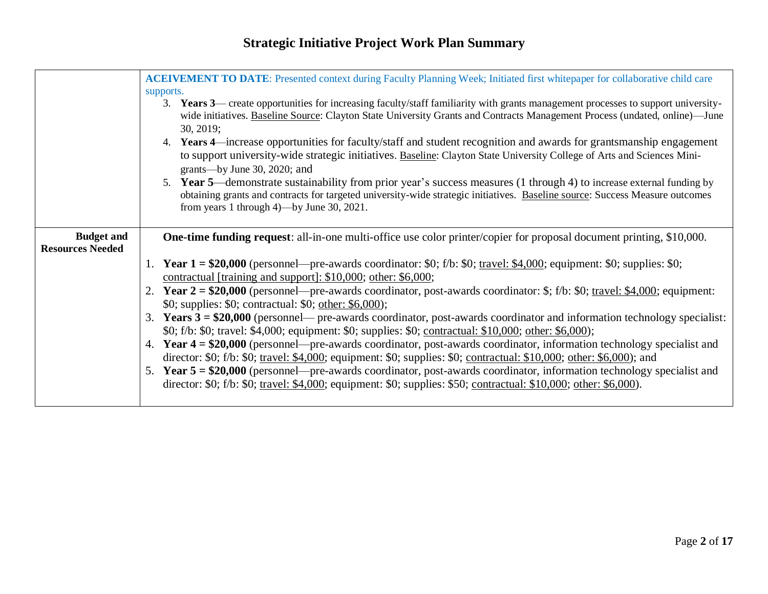|                         | <b>ACEIVEMENT TO DATE:</b> Presented context during Faculty Planning Week; Initiated first whitepaper for collaborative child care<br>supports.<br>3. Years 3— create opportunities for increasing faculty/staff familiarity with grants management processes to support university-<br>wide initiatives. Baseline Source: Clayton State University Grants and Contracts Management Process (undated, online)—June<br>30, 2019;<br>4. Years 4—increase opportunities for faculty/staff and student recognition and awards for grantsmanship engagement<br>to support university-wide strategic initiatives. Baseline: Clayton State University College of Arts and Sciences Mini-<br>grants—by June 30, 2020; and<br>5. Year 5—demonstrate sustainability from prior year's success measures (1 through 4) to increase external funding by<br>obtaining grants and contracts for targeted university-wide strategic initiatives. Baseline source: Success Measure outcomes<br>from years 1 through 4)—by June 30, 2021. |
|-------------------------|-------------------------------------------------------------------------------------------------------------------------------------------------------------------------------------------------------------------------------------------------------------------------------------------------------------------------------------------------------------------------------------------------------------------------------------------------------------------------------------------------------------------------------------------------------------------------------------------------------------------------------------------------------------------------------------------------------------------------------------------------------------------------------------------------------------------------------------------------------------------------------------------------------------------------------------------------------------------------------------------------------------------------|
| <b>Budget and</b>       | <b>One-time funding request:</b> all-in-one multi-office use color printer/copier for proposal document printing, \$10,000.                                                                                                                                                                                                                                                                                                                                                                                                                                                                                                                                                                                                                                                                                                                                                                                                                                                                                             |
| <b>Resources Needed</b> |                                                                                                                                                                                                                                                                                                                                                                                                                                                                                                                                                                                                                                                                                                                                                                                                                                                                                                                                                                                                                         |
|                         | 1. Year $1 = $20,000$ (personnel—pre-awards coordinator: \$0; f/b: \$0; travel: \$4,000; equipment: \$0; supplies: \$0;                                                                                                                                                                                                                                                                                                                                                                                                                                                                                                                                                                                                                                                                                                                                                                                                                                                                                                 |
|                         | contractual [training and support]: \$10,000; other: \$6,000;                                                                                                                                                                                                                                                                                                                                                                                                                                                                                                                                                                                                                                                                                                                                                                                                                                                                                                                                                           |
|                         | 2. Year $2 = $20,000$ (personnel—pre-awards coordinator, post-awards coordinator: \$; f/b: \$0; travel: \$4,000; equipment:                                                                                                                                                                                                                                                                                                                                                                                                                                                                                                                                                                                                                                                                                                                                                                                                                                                                                             |
|                         | \$0; supplies: \$0; contractual: \$0; other: \$6,000);                                                                                                                                                                                                                                                                                                                                                                                                                                                                                                                                                                                                                                                                                                                                                                                                                                                                                                                                                                  |
|                         | 3. Years $3 = $20,000$ (personnel— pre-awards coordinator, post-awards coordinator and information technology specialist:                                                                                                                                                                                                                                                                                                                                                                                                                                                                                                                                                                                                                                                                                                                                                                                                                                                                                               |
|                         | \$0; f/b: \$0; travel: \$4,000; equipment: \$0; supplies: \$0; contractual: \$10,000; other: \$6,000);                                                                                                                                                                                                                                                                                                                                                                                                                                                                                                                                                                                                                                                                                                                                                                                                                                                                                                                  |
|                         | 4. Year $4 = $20,000$ (personnel—pre-awards coordinator, post-awards coordinator, information technology specialist and                                                                                                                                                                                                                                                                                                                                                                                                                                                                                                                                                                                                                                                                                                                                                                                                                                                                                                 |
|                         | director: \$0; f/b: \$0; travel: \$4,000; equipment: \$0; supplies: \$0; contractual: \$10,000; other: \$6,000); and                                                                                                                                                                                                                                                                                                                                                                                                                                                                                                                                                                                                                                                                                                                                                                                                                                                                                                    |
|                         | 5. Year 5 = \$20,000 (personnel—pre-awards coordinator, post-awards coordinator, information technology specialist and                                                                                                                                                                                                                                                                                                                                                                                                                                                                                                                                                                                                                                                                                                                                                                                                                                                                                                  |
|                         | director: \$0; f/b: \$0; travel: \$4,000; equipment: \$0; supplies: \$50; contractual: \$10,000; other: \$6,000).                                                                                                                                                                                                                                                                                                                                                                                                                                                                                                                                                                                                                                                                                                                                                                                                                                                                                                       |
|                         |                                                                                                                                                                                                                                                                                                                                                                                                                                                                                                                                                                                                                                                                                                                                                                                                                                                                                                                                                                                                                         |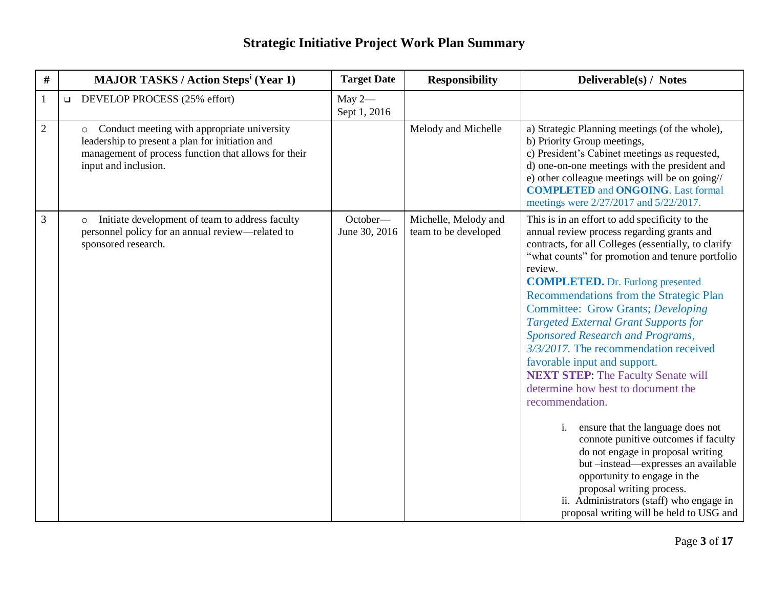| #              | <b>MAJOR TASKS / Action Steps<sup>i</sup> (Year 1)</b>                                                                                                                                    | <b>Target Date</b>        | <b>Responsibility</b>                        | Deliverable(s) / Notes                                                                                                                                                                                                                                                                                                                                                                                                                                                                                                                                                                                                                                                                                                                                                                                                                                                                                                                       |
|----------------|-------------------------------------------------------------------------------------------------------------------------------------------------------------------------------------------|---------------------------|----------------------------------------------|----------------------------------------------------------------------------------------------------------------------------------------------------------------------------------------------------------------------------------------------------------------------------------------------------------------------------------------------------------------------------------------------------------------------------------------------------------------------------------------------------------------------------------------------------------------------------------------------------------------------------------------------------------------------------------------------------------------------------------------------------------------------------------------------------------------------------------------------------------------------------------------------------------------------------------------------|
| $\mathbf{1}$   | <b>DEVELOP PROCESS</b> $(25\% \text{ effort})$                                                                                                                                            | May $2-$<br>Sept 1, 2016  |                                              |                                                                                                                                                                                                                                                                                                                                                                                                                                                                                                                                                                                                                                                                                                                                                                                                                                                                                                                                              |
| $\overline{2}$ | Conduct meeting with appropriate university<br>$\circ$<br>leadership to present a plan for initiation and<br>management of process function that allows for their<br>input and inclusion. |                           | Melody and Michelle                          | a) Strategic Planning meetings (of the whole),<br>b) Priority Group meetings,<br>c) President's Cabinet meetings as requested,<br>d) one-on-one meetings with the president and<br>e) other colleague meetings will be on going//<br><b>COMPLETED and ONGOING.</b> Last formal<br>meetings were 2/27/2017 and 5/22/2017.                                                                                                                                                                                                                                                                                                                                                                                                                                                                                                                                                                                                                     |
| 3              | Initiate development of team to address faculty<br>$\circ$<br>personnel policy for an annual review—related to<br>sponsored research.                                                     | October-<br>June 30, 2016 | Michelle, Melody and<br>team to be developed | This is in an effort to add specificity to the<br>annual review process regarding grants and<br>contracts, for all Colleges (essentially, to clarify<br>"what counts" for promotion and tenure portfolio<br>review.<br><b>COMPLETED.</b> Dr. Furlong presented<br>Recommendations from the Strategic Plan<br><b>Committee: Grow Grants; Developing</b><br><b>Targeted External Grant Supports for</b><br>Sponsored Research and Programs,<br>3/3/2017. The recommendation received<br>favorable input and support.<br><b>NEXT STEP: The Faculty Senate will</b><br>determine how best to document the<br>recommendation.<br>i.<br>ensure that the language does not<br>connote punitive outcomes if faculty<br>do not engage in proposal writing<br>but -instead-expresses an available<br>opportunity to engage in the<br>proposal writing process.<br>ii. Administrators (staff) who engage in<br>proposal writing will be held to USG and |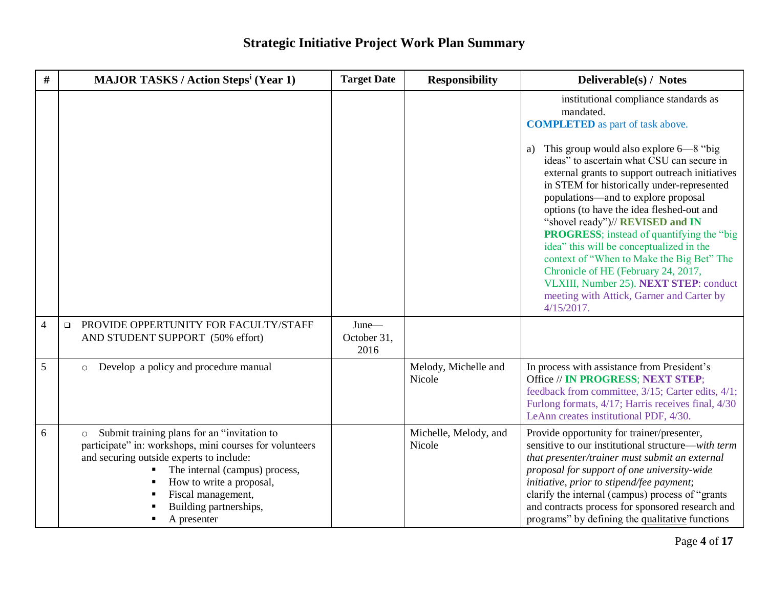| $\#$           | <b>MAJOR TASKS / Action Steps<sup>i</sup> (Year 1)</b>                                                                                                                                                                                                                                                                              | <b>Target Date</b>           | <b>Responsibility</b>           | Deliverable(s) / Notes                                                                                                                                                                                                                                                                                                                                                                                                                                                                                                                                                                                                                                                                                             |
|----------------|-------------------------------------------------------------------------------------------------------------------------------------------------------------------------------------------------------------------------------------------------------------------------------------------------------------------------------------|------------------------------|---------------------------------|--------------------------------------------------------------------------------------------------------------------------------------------------------------------------------------------------------------------------------------------------------------------------------------------------------------------------------------------------------------------------------------------------------------------------------------------------------------------------------------------------------------------------------------------------------------------------------------------------------------------------------------------------------------------------------------------------------------------|
|                |                                                                                                                                                                                                                                                                                                                                     |                              |                                 | institutional compliance standards as<br>mandated.<br><b>COMPLETED</b> as part of task above.<br>This group would also explore 6—8 "big"<br>a)<br>ideas" to ascertain what CSU can secure in<br>external grants to support outreach initiatives<br>in STEM for historically under-represented<br>populations—and to explore proposal<br>options (to have the idea fleshed-out and<br>"shovel ready")// REVISED and IN<br><b>PROGRESS</b> ; instead of quantifying the "big<br>idea" this will be conceptualized in the<br>context of "When to Make the Big Bet" The<br>Chronicle of HE (February 24, 2017,<br>VLXIII, Number 25). NEXT STEP: conduct<br>meeting with Attick, Garner and Carter by<br>$4/15/2017$ . |
| $\overline{4}$ | PROVIDE OPPERTUNITY FOR FACULTY/STAFF<br>$\Box$<br>AND STUDENT SUPPORT (50% effort)                                                                                                                                                                                                                                                 | June-<br>October 31,<br>2016 |                                 |                                                                                                                                                                                                                                                                                                                                                                                                                                                                                                                                                                                                                                                                                                                    |
| 5              | Develop a policy and procedure manual<br>$\circ$                                                                                                                                                                                                                                                                                    |                              | Melody, Michelle and<br>Nicole  | In process with assistance from President's<br>Office // IN PROGRESS; NEXT STEP;<br>feedback from committee, 3/15; Carter edits, 4/1;<br>Furlong formats, 4/17; Harris receives final, 4/30<br>LeAnn creates institutional PDF, 4/30.                                                                                                                                                                                                                                                                                                                                                                                                                                                                              |
| 6              | Submit training plans for an "invitation to<br>$\circ$<br>participate" in: workshops, mini courses for volunteers<br>and securing outside experts to include:<br>The internal (campus) process,<br>٠<br>How to write a proposal,<br>$\blacksquare$<br>Fiscal management,<br>Building partnerships,<br>A presenter<br>$\blacksquare$ |                              | Michelle, Melody, and<br>Nicole | Provide opportunity for trainer/presenter,<br>sensitive to our institutional structure—with term<br>that presenter/trainer must submit an external<br>proposal for support of one university-wide<br>initiative, prior to stipend/fee payment;<br>clarify the internal (campus) process of "grants"<br>and contracts process for sponsored research and<br>programs" by defining the qualitative functions                                                                                                                                                                                                                                                                                                         |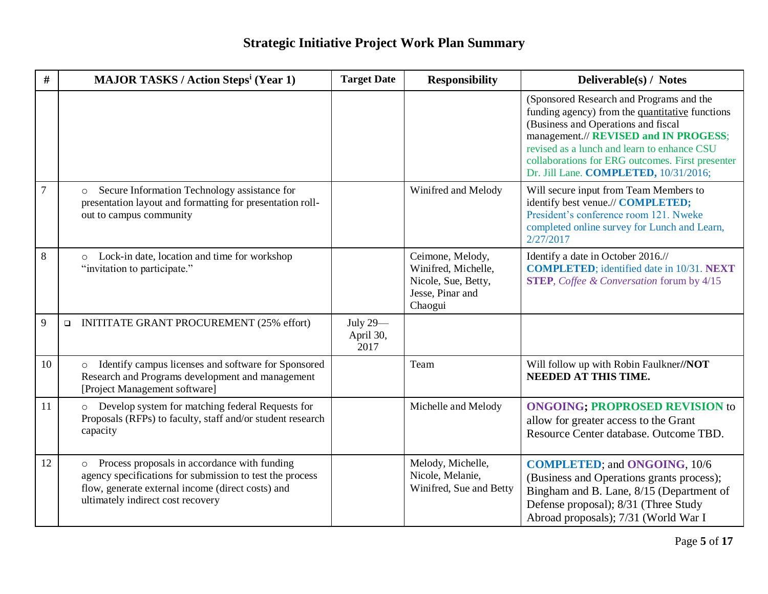| $\#$           | <b>MAJOR TASKS / Action Steps<sup>i</sup> (Year 1)</b>                                                                                                                                                        | <b>Target Date</b>            | <b>Responsibility</b>                                                                         | Deliverable(s) / Notes                                                                                                                                                                                                                                                                                                  |
|----------------|---------------------------------------------------------------------------------------------------------------------------------------------------------------------------------------------------------------|-------------------------------|-----------------------------------------------------------------------------------------------|-------------------------------------------------------------------------------------------------------------------------------------------------------------------------------------------------------------------------------------------------------------------------------------------------------------------------|
|                |                                                                                                                                                                                                               |                               |                                                                                               | (Sponsored Research and Programs and the<br>funding agency) from the quantitative functions<br>(Business and Operations and fiscal<br>management.// REVISED and IN PROGESS;<br>revised as a lunch and learn to enhance CSU<br>collaborations for ERG outcomes. First presenter<br>Dr. Jill Lane. COMPLETED, 10/31/2016; |
| $\overline{7}$ | Secure Information Technology assistance for<br>$\circ$<br>presentation layout and formatting for presentation roll-<br>out to campus community                                                               |                               | Winifred and Melody                                                                           | Will secure input from Team Members to<br>identify best venue.// COMPLETED;<br>President's conference room 121. Nweke<br>completed online survey for Lunch and Learn,<br>2/27/2017                                                                                                                                      |
| 8              | Lock-in date, location and time for workshop<br>$\circ$<br>"invitation to participate."                                                                                                                       |                               | Ceimone, Melody,<br>Winifred, Michelle,<br>Nicole, Sue, Betty,<br>Jesse, Pinar and<br>Chaogui | Identify a date in October 2016.//<br><b>COMPLETED</b> ; identified date in 10/31. NEXT<br><b>STEP</b> , <i>Coffee &amp; Conversation</i> forum by 4/15                                                                                                                                                                 |
| 9              | <b>INITITATE GRANT PROCUREMENT (25% effort)</b><br>$\Box$                                                                                                                                                     | July 29-<br>April 30,<br>2017 |                                                                                               |                                                                                                                                                                                                                                                                                                                         |
| 10             | Identify campus licenses and software for Sponsored<br>$\circ$<br>Research and Programs development and management<br>[Project Management software]                                                           |                               | Team                                                                                          | Will follow up with Robin Faulkner//NOT<br><b>NEEDED AT THIS TIME.</b>                                                                                                                                                                                                                                                  |
| 11             | Develop system for matching federal Requests for<br>$\circ$<br>Proposals (RFPs) to faculty, staff and/or student research<br>capacity                                                                         |                               | Michelle and Melody                                                                           | <b>ONGOING; PROPROSED REVISION to</b><br>allow for greater access to the Grant<br>Resource Center database. Outcome TBD.                                                                                                                                                                                                |
| 12             | Process proposals in accordance with funding<br>$\circ$<br>agency specifications for submission to test the process<br>flow, generate external income (direct costs) and<br>ultimately indirect cost recovery |                               | Melody, Michelle,<br>Nicole, Melanie,<br>Winifred, Sue and Betty                              | <b>COMPLETED; and ONGOING, 10/6</b><br>(Business and Operations grants process);<br>Bingham and B. Lane, 8/15 (Department of<br>Defense proposal); 8/31 (Three Study<br>Abroad proposals); 7/31 (World War I                                                                                                            |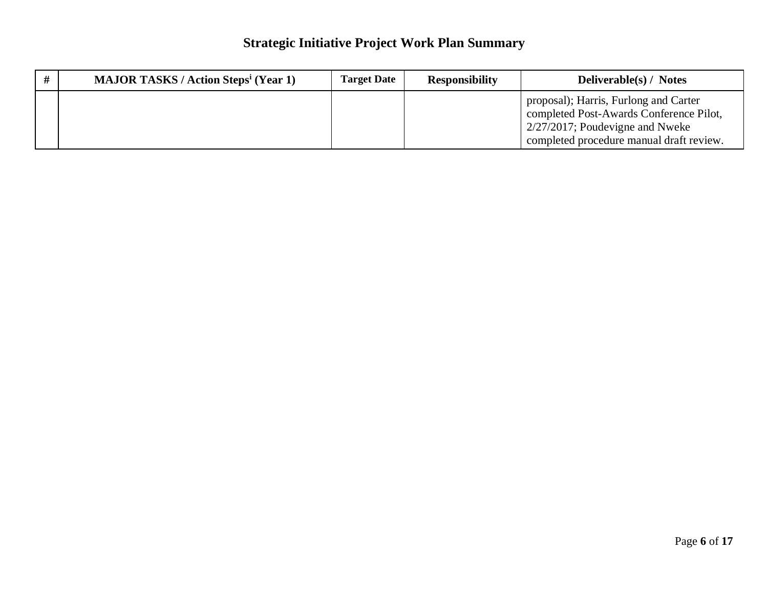| <b>MAJOR TASKS / Action Steps<sup>i</sup> (Year 1)</b> | <b>Target Date</b> | <b>Responsibility</b> | <b>Deliverable(s) / Notes</b>                                                                                                                                                 |
|--------------------------------------------------------|--------------------|-----------------------|-------------------------------------------------------------------------------------------------------------------------------------------------------------------------------|
|                                                        |                    |                       | proposal); Harris, Furlong and Carter<br>completed Post-Awards Conference Pilot,<br>$\frac{1}{2}$ 2/27/2017; Poudevigne and Nweke<br>completed procedure manual draft review. |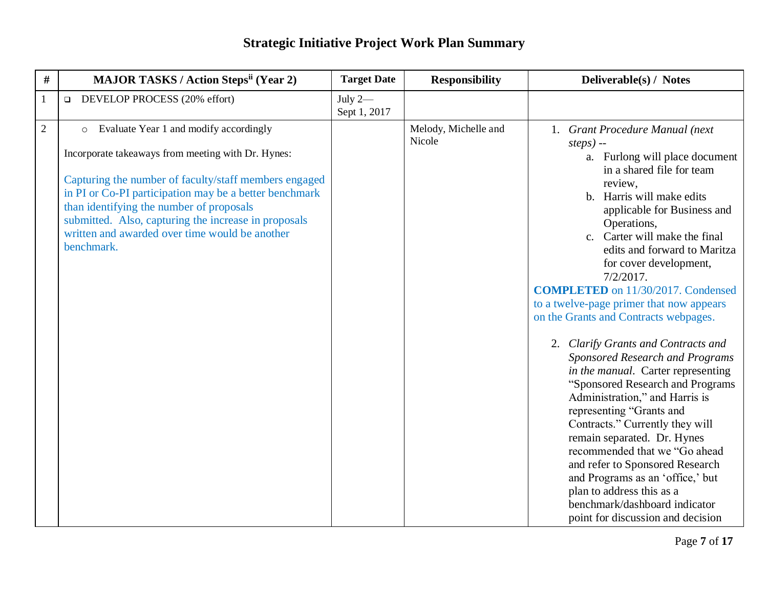| #              | <b>MAJOR TASKS / Action Steps<sup>ii</sup> (Year 2)</b>                                                                                                                                                                                                                                                                                                                                        | <b>Target Date</b>        | <b>Responsibility</b>          | Deliverable(s) / Notes                                                                                                                                                                                                                                                                                                                                                                                                                                                                                                                                                                                                                                                                                                                                                                                                                                                                                                                          |
|----------------|------------------------------------------------------------------------------------------------------------------------------------------------------------------------------------------------------------------------------------------------------------------------------------------------------------------------------------------------------------------------------------------------|---------------------------|--------------------------------|-------------------------------------------------------------------------------------------------------------------------------------------------------------------------------------------------------------------------------------------------------------------------------------------------------------------------------------------------------------------------------------------------------------------------------------------------------------------------------------------------------------------------------------------------------------------------------------------------------------------------------------------------------------------------------------------------------------------------------------------------------------------------------------------------------------------------------------------------------------------------------------------------------------------------------------------------|
| $\mathbf{1}$   | DEVELOP PROCESS (20% effort)<br>$\Box$                                                                                                                                                                                                                                                                                                                                                         | July $2-$<br>Sept 1, 2017 |                                |                                                                                                                                                                                                                                                                                                                                                                                                                                                                                                                                                                                                                                                                                                                                                                                                                                                                                                                                                 |
| $\overline{2}$ | Evaluate Year 1 and modify accordingly<br>$\circ$<br>Incorporate takeaways from meeting with Dr. Hynes:<br>Capturing the number of faculty/staff members engaged<br>in PI or Co-PI participation may be a better benchmark<br>than identifying the number of proposals<br>submitted. Also, capturing the increase in proposals<br>written and awarded over time would be another<br>benchmark. |                           | Melody, Michelle and<br>Nicole | 1. Grant Procedure Manual (next<br>$steps)$ --<br>a. Furlong will place document<br>in a shared file for team<br>review,<br>b. Harris will make edits<br>applicable for Business and<br>Operations,<br>c. Carter will make the final<br>edits and forward to Maritza<br>for cover development,<br>$7/2/2017$ .<br><b>COMPLETED</b> on 11/30/2017. Condensed<br>to a twelve-page primer that now appears<br>on the Grants and Contracts webpages.<br>2. Clarify Grants and Contracts and<br>Sponsored Research and Programs<br>in the manual. Carter representing<br>"Sponsored Research and Programs<br>Administration," and Harris is<br>representing "Grants and<br>Contracts." Currently they will<br>remain separated. Dr. Hynes<br>recommended that we "Go ahead<br>and refer to Sponsored Research<br>and Programs as an 'office,' but<br>plan to address this as a<br>benchmark/dashboard indicator<br>point for discussion and decision |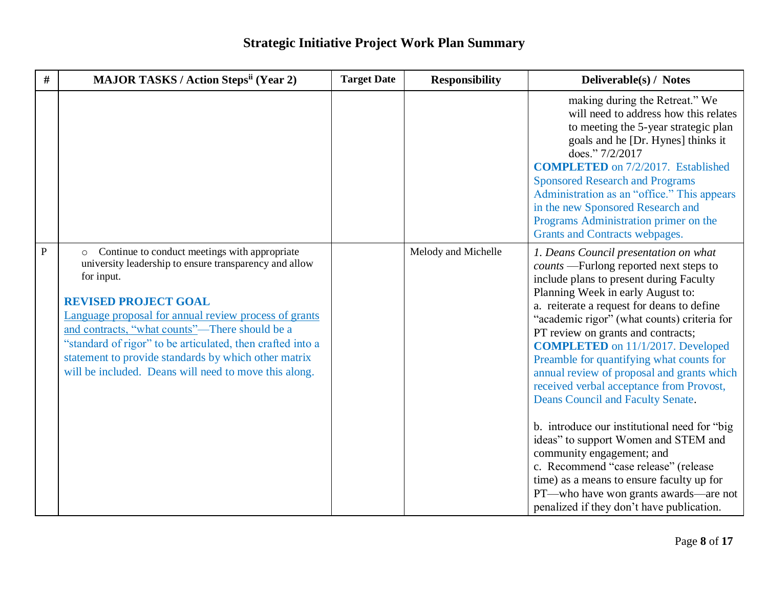| #            | <b>MAJOR TASKS / Action Steps<sup>ii</sup> (Year 2)</b>                                                                                                                                                                                                                                                                                                                                                                                                   | <b>Target Date</b> | <b>Responsibility</b> | Deliverable(s) / Notes                                                                                                                                                                                                                                                                                                                                                                                                                                                                                                                                                                                                                                                                                                                                                                                                     |
|--------------|-----------------------------------------------------------------------------------------------------------------------------------------------------------------------------------------------------------------------------------------------------------------------------------------------------------------------------------------------------------------------------------------------------------------------------------------------------------|--------------------|-----------------------|----------------------------------------------------------------------------------------------------------------------------------------------------------------------------------------------------------------------------------------------------------------------------------------------------------------------------------------------------------------------------------------------------------------------------------------------------------------------------------------------------------------------------------------------------------------------------------------------------------------------------------------------------------------------------------------------------------------------------------------------------------------------------------------------------------------------------|
|              |                                                                                                                                                                                                                                                                                                                                                                                                                                                           |                    |                       | making during the Retreat." We<br>will need to address how this relates<br>to meeting the 5-year strategic plan<br>goals and he [Dr. Hynes] thinks it<br>does." 7/2/2017<br><b>COMPLETED</b> on 7/2/2017. Established<br><b>Sponsored Research and Programs</b><br>Administration as an "office." This appears<br>in the new Sponsored Research and<br>Programs Administration primer on the<br>Grants and Contracts webpages.                                                                                                                                                                                                                                                                                                                                                                                             |
| $\mathbf{P}$ | Continue to conduct meetings with appropriate<br>$\circ$<br>university leadership to ensure transparency and allow<br>for input.<br><b>REVISED PROJECT GOAL</b><br>Language proposal for annual review process of grants<br>and contracts, "what counts"—There should be a<br>"standard of rigor" to be articulated, then crafted into a<br>statement to provide standards by which other matrix<br>will be included. Deans will need to move this along. |                    | Melody and Michelle   | 1. Deans Council presentation on what<br>counts - Furlong reported next steps to<br>include plans to present during Faculty<br>Planning Week in early August to:<br>a. reiterate a request for deans to define<br>"academic rigor" (what counts) criteria for<br>PT review on grants and contracts;<br><b>COMPLETED</b> on 11/1/2017. Developed<br>Preamble for quantifying what counts for<br>annual review of proposal and grants which<br>received verbal acceptance from Provost,<br>Deans Council and Faculty Senate.<br>b. introduce our institutional need for "big<br>ideas" to support Women and STEM and<br>community engagement; and<br>c. Recommend "case release" (release<br>time) as a means to ensure faculty up for<br>PT—who have won grants awards—are not<br>penalized if they don't have publication. |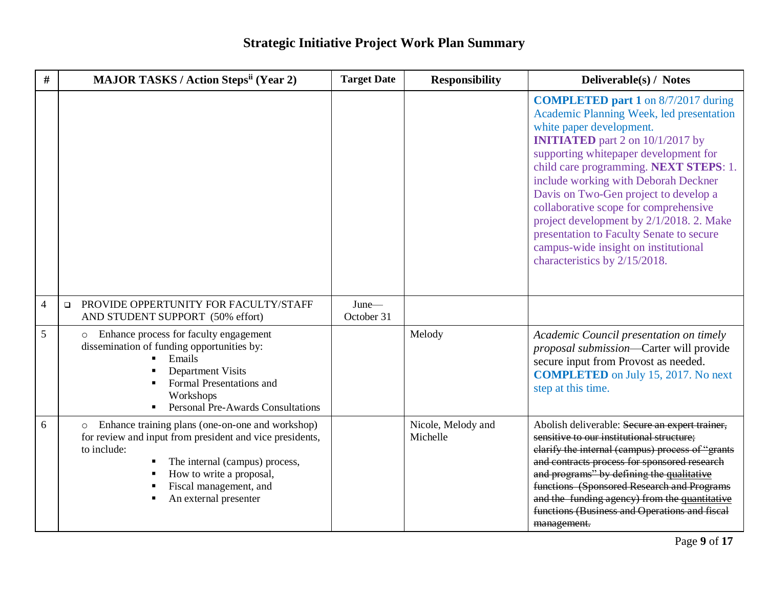| #               | <b>MAJOR TASKS / Action Stepsii (Year 2)</b>                                                                                                                                                                                                                                                                       | <b>Target Date</b>  | <b>Responsibility</b>          | Deliverable(s) / Notes                                                                                                                                                                                                                                                                                                                                                                                                                                                                                                                      |
|-----------------|--------------------------------------------------------------------------------------------------------------------------------------------------------------------------------------------------------------------------------------------------------------------------------------------------------------------|---------------------|--------------------------------|---------------------------------------------------------------------------------------------------------------------------------------------------------------------------------------------------------------------------------------------------------------------------------------------------------------------------------------------------------------------------------------------------------------------------------------------------------------------------------------------------------------------------------------------|
|                 |                                                                                                                                                                                                                                                                                                                    |                     |                                | <b>COMPLETED part 1</b> on 8/7/2017 during<br>Academic Planning Week, led presentation<br>white paper development.<br><b>INITIATED</b> part 2 on 10/1/2017 by<br>supporting whitepaper development for<br>child care programming. NEXT STEPS: 1.<br>include working with Deborah Deckner<br>Davis on Two-Gen project to develop a<br>collaborative scope for comprehensive<br>project development by 2/1/2018. 2. Make<br>presentation to Faculty Senate to secure<br>campus-wide insight on institutional<br>characteristics by 2/15/2018. |
| $\overline{4}$  | PROVIDE OPPERTUNITY FOR FACULTY/STAFF<br>$\Box$<br>AND STUDENT SUPPORT (50% effort)                                                                                                                                                                                                                                | June-<br>October 31 |                                |                                                                                                                                                                                                                                                                                                                                                                                                                                                                                                                                             |
| $5\overline{)}$ | o Enhance process for faculty engagement<br>dissemination of funding opportunities by:<br>Emails<br><b>Department Visits</b><br>Formal Presentations and<br>Workshops<br><b>Personal Pre-Awards Consultations</b>                                                                                                  |                     | Melody                         | Academic Council presentation on timely<br>proposal submission-Carter will provide<br>secure input from Provost as needed.<br><b>COMPLETED</b> on July 15, 2017. No next<br>step at this time.                                                                                                                                                                                                                                                                                                                                              |
| 6               | Enhance training plans (one-on-one and workshop)<br>$\circ$<br>for review and input from president and vice presidents,<br>to include:<br>The internal (campus) process,<br>٠<br>How to write a proposal,<br>$\blacksquare$<br>Fiscal management, and<br>$\blacksquare$<br>An external presenter<br>$\blacksquare$ |                     | Nicole, Melody and<br>Michelle | Abolish deliverable: Secure an expert trainer,<br>sensitive to our institutional structure;<br>clarify the internal (campus) process of "grants<br>and contracts process for sponsored research<br>and programs" by defining the qualitative<br>functions (Sponsored Research and Programs<br>and the funding agency) from the quantitative<br>functions (Business and Operations and fiscal<br>management.                                                                                                                                 |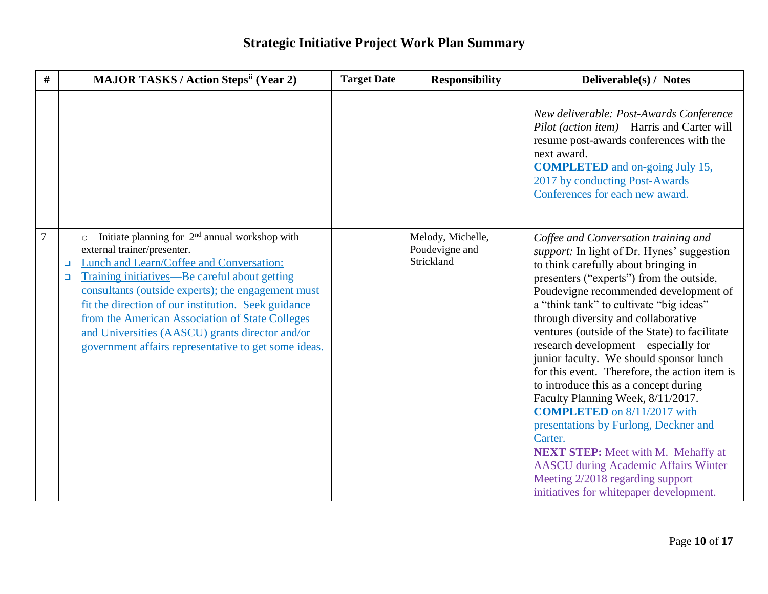| #              | <b>MAJOR TASKS / Action Stepsii (Year 2)</b>                                                                                                                                                                                                                                                                                                                                                                                                                                       | <b>Target Date</b> | <b>Responsibility</b>                             | Deliverable(s) / Notes                                                                                                                                                                                                                                                                                                                                                                                                                                                                                                                                                                                                                                                                                                                                                                                                                          |
|----------------|------------------------------------------------------------------------------------------------------------------------------------------------------------------------------------------------------------------------------------------------------------------------------------------------------------------------------------------------------------------------------------------------------------------------------------------------------------------------------------|--------------------|---------------------------------------------------|-------------------------------------------------------------------------------------------------------------------------------------------------------------------------------------------------------------------------------------------------------------------------------------------------------------------------------------------------------------------------------------------------------------------------------------------------------------------------------------------------------------------------------------------------------------------------------------------------------------------------------------------------------------------------------------------------------------------------------------------------------------------------------------------------------------------------------------------------|
|                |                                                                                                                                                                                                                                                                                                                                                                                                                                                                                    |                    |                                                   | New deliverable: Post-Awards Conference<br>Pilot (action item)-Harris and Carter will<br>resume post-awards conferences with the<br>next award.<br><b>COMPLETED</b> and on-going July 15,<br>2017 by conducting Post-Awards<br>Conferences for each new award.                                                                                                                                                                                                                                                                                                                                                                                                                                                                                                                                                                                  |
| $\overline{7}$ | Initiate planning for $2nd$ annual workshop with<br>external trainer/presenter.<br><b>Lunch and Learn/Coffee and Conversation:</b><br>$\Box$<br>Training initiatives—Be careful about getting<br>$\Box$<br>consultants (outside experts); the engagement must<br>fit the direction of our institution. Seek guidance<br>from the American Association of State Colleges<br>and Universities (AASCU) grants director and/or<br>government affairs representative to get some ideas. |                    | Melody, Michelle,<br>Poudevigne and<br>Strickland | Coffee and Conversation training and<br><i>support:</i> In light of Dr. Hynes' suggestion<br>to think carefully about bringing in<br>presenters ("experts") from the outside,<br>Poudevigne recommended development of<br>a "think tank" to cultivate "big ideas"<br>through diversity and collaborative<br>ventures (outside of the State) to facilitate<br>research development—especially for<br>junior faculty. We should sponsor lunch<br>for this event. Therefore, the action item is<br>to introduce this as a concept during<br>Faculty Planning Week, 8/11/2017.<br><b>COMPLETED</b> on 8/11/2017 with<br>presentations by Furlong, Deckner and<br>Carter.<br><b>NEXT STEP:</b> Meet with M. Mehaffy at<br><b>AASCU</b> during Academic Affairs Winter<br>Meeting 2/2018 regarding support<br>initiatives for whitepaper development. |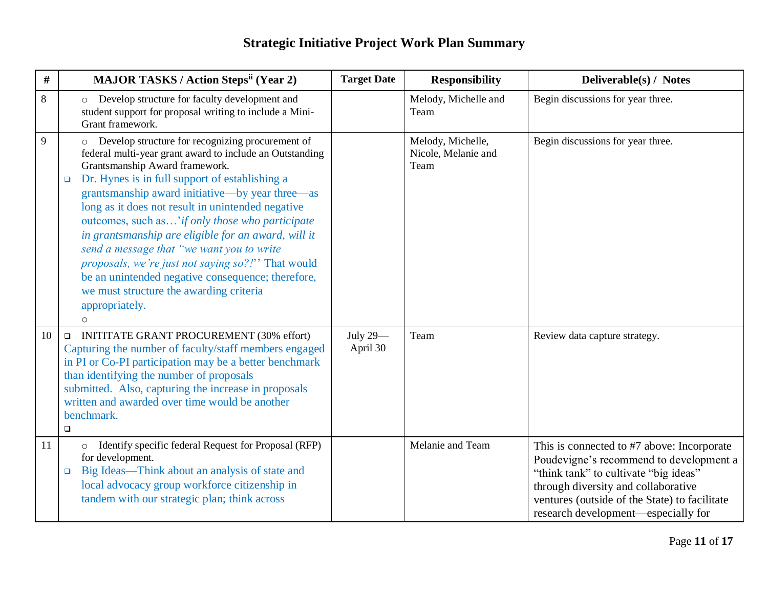| $\#$ | <b>MAJOR TASKS / Action Stepsii (Year 2)</b>                                                                                                                                                                                                                                                                                                                                                                                                                                                                                                                                                                                                                              | <b>Target Date</b>   | <b>Responsibility</b>                            | Deliverable(s) / Notes                                                                                                                                                                                                                                        |
|------|---------------------------------------------------------------------------------------------------------------------------------------------------------------------------------------------------------------------------------------------------------------------------------------------------------------------------------------------------------------------------------------------------------------------------------------------------------------------------------------------------------------------------------------------------------------------------------------------------------------------------------------------------------------------------|----------------------|--------------------------------------------------|---------------------------------------------------------------------------------------------------------------------------------------------------------------------------------------------------------------------------------------------------------------|
| 8    | Develop structure for faculty development and<br>$\circ$<br>student support for proposal writing to include a Mini-<br>Grant framework.                                                                                                                                                                                                                                                                                                                                                                                                                                                                                                                                   |                      | Melody, Michelle and<br>Team                     | Begin discussions for year three.                                                                                                                                                                                                                             |
| 9    | Develop structure for recognizing procurement of<br>$\circ$<br>federal multi-year grant award to include an Outstanding<br>Grantsmanship Award framework.<br>Dr. Hynes is in full support of establishing a<br>$\Box$<br>grantsmanship award initiative—by year three—as<br>long as it does not result in unintended negative<br>outcomes, such as ' if only those who participate<br>in grantsmanship are eligible for an award, will it<br>send a message that "we want you to write<br>proposals, we're just not saying so?!" That would<br>be an unintended negative consequence; therefore,<br>we must structure the awarding criteria<br>appropriately.<br>$\Omega$ |                      | Melody, Michelle,<br>Nicole, Melanie and<br>Team | Begin discussions for year three.                                                                                                                                                                                                                             |
| 10   | <b>INITITATE GRANT PROCUREMENT (30% effort)</b><br>$\Box$<br>Capturing the number of faculty/staff members engaged<br>in PI or Co-PI participation may be a better benchmark<br>than identifying the number of proposals<br>submitted. Also, capturing the increase in proposals<br>written and awarded over time would be another<br>benchmark.<br>$\Box$                                                                                                                                                                                                                                                                                                                | July 29-<br>April 30 | Team                                             | Review data capture strategy.                                                                                                                                                                                                                                 |
| 11   | Identify specific federal Request for Proposal (RFP)<br>for development.<br>Big Ideas—Think about an analysis of state and<br>$\Box$<br>local advocacy group workforce citizenship in<br>tandem with our strategic plan; think across                                                                                                                                                                                                                                                                                                                                                                                                                                     |                      | Melanie and Team                                 | This is connected to #7 above: Incorporate<br>Poudevigne's recommend to development a<br>"think tank" to cultivate "big ideas"<br>through diversity and collaborative<br>ventures (outside of the State) to facilitate<br>research development—especially for |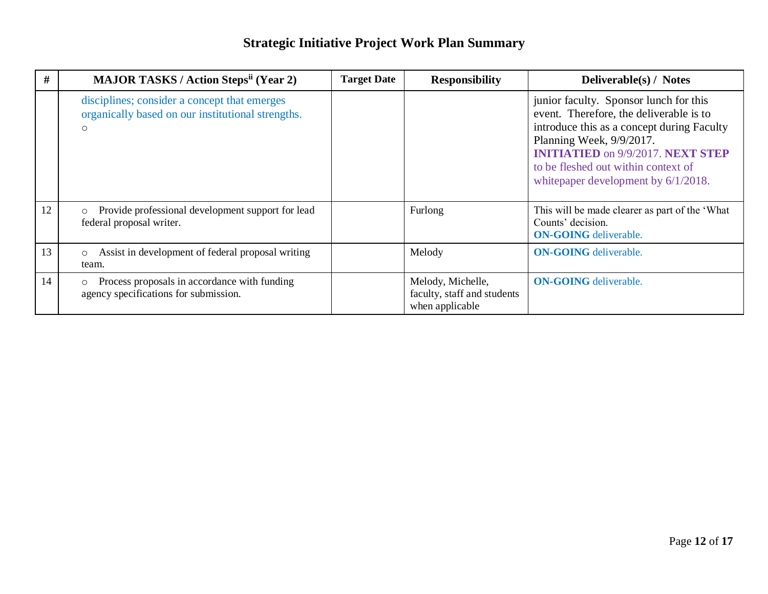| #  | <b>MAJOR TASKS / Action Steps<sup>ii</sup> (Year 2)</b>                                                      | <b>Target Date</b> | <b>Responsibility</b>                                               | <b>Deliverable(s) / Notes</b>                                                                                                                                                                                                                                                          |
|----|--------------------------------------------------------------------------------------------------------------|--------------------|---------------------------------------------------------------------|----------------------------------------------------------------------------------------------------------------------------------------------------------------------------------------------------------------------------------------------------------------------------------------|
|    | disciplines; consider a concept that emerges<br>organically based on our institutional strengths.<br>$\circ$ |                    |                                                                     | junior faculty. Sponsor lunch for this<br>event. Therefore, the deliverable is to<br>introduce this as a concept during Faculty<br>Planning Week, 9/9/2017.<br><b>INITIATIED</b> on 9/9/2017. NEXT STEP<br>to be fleshed out within context of<br>white paper development by 6/1/2018. |
| 12 | Provide professional development support for lead<br>$\circ$<br>federal proposal writer.                     |                    | Furlong                                                             | This will be made clearer as part of the 'What<br>Counts' decision.<br><b>ON-GOING</b> deliverable.                                                                                                                                                                                    |
| 13 | Assist in development of federal proposal writing<br>$\circ$<br>team.                                        |                    | Melody                                                              | <b>ON-GOING</b> deliverable.                                                                                                                                                                                                                                                           |
| 14 | Process proposals in accordance with funding<br>$\circ$<br>agency specifications for submission.             |                    | Melody, Michelle,<br>faculty, staff and students<br>when applicable | <b>ON-GOING</b> deliverable.                                                                                                                                                                                                                                                           |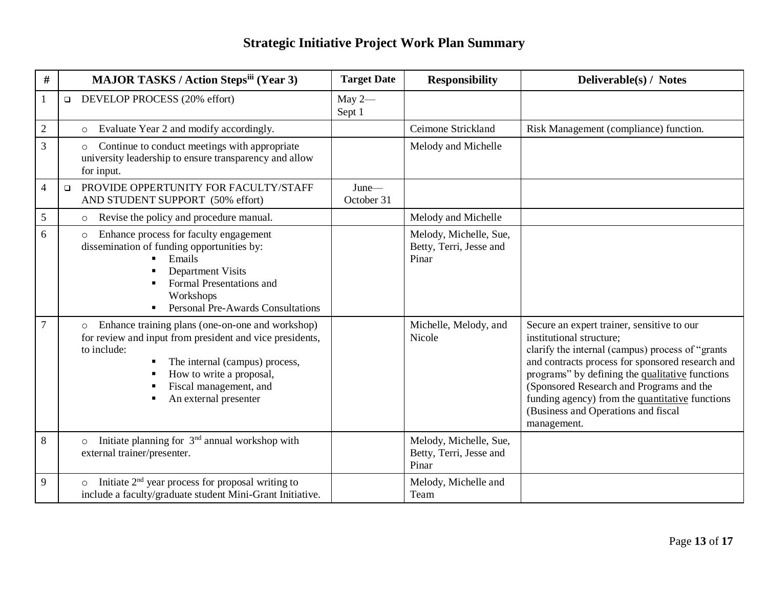| #              |        | <b>MAJOR TASKS / Action Stepsiii (Year 3)</b>                                                                                                                                                                                                           | <b>Target Date</b>  | <b>Responsibility</b>                                      | Deliverable(s) / Notes                                                                                                                                                                                                                                                                                                                                                                 |
|----------------|--------|---------------------------------------------------------------------------------------------------------------------------------------------------------------------------------------------------------------------------------------------------------|---------------------|------------------------------------------------------------|----------------------------------------------------------------------------------------------------------------------------------------------------------------------------------------------------------------------------------------------------------------------------------------------------------------------------------------------------------------------------------------|
| 1              | $\Box$ | DEVELOP PROCESS (20% effort)                                                                                                                                                                                                                            | May $2-$<br>Sept 1  |                                                            |                                                                                                                                                                                                                                                                                                                                                                                        |
| $\mathfrak{2}$ |        | Evaluate Year 2 and modify accordingly.<br>$\circ$                                                                                                                                                                                                      |                     | Ceimone Strickland                                         | Risk Management (compliance) function.                                                                                                                                                                                                                                                                                                                                                 |
| $\overline{3}$ |        | Continue to conduct meetings with appropriate<br>$\circ$<br>university leadership to ensure transparency and allow<br>for input.                                                                                                                        |                     | Melody and Michelle                                        |                                                                                                                                                                                                                                                                                                                                                                                        |
| $\overline{4}$ | $\Box$ | PROVIDE OPPERTUNITY FOR FACULTY/STAFF<br>AND STUDENT SUPPORT (50% effort)                                                                                                                                                                               | June-<br>October 31 |                                                            |                                                                                                                                                                                                                                                                                                                                                                                        |
| $\mathfrak{S}$ |        | Revise the policy and procedure manual.<br>$\circ$                                                                                                                                                                                                      |                     | Melody and Michelle                                        |                                                                                                                                                                                                                                                                                                                                                                                        |
| 6              |        | Enhance process for faculty engagement<br>$\circ$<br>dissemination of funding opportunities by:<br>Emails<br><b>Department Visits</b><br>Formal Presentations and<br>Workshops<br>Personal Pre-Awards Consultations                                     |                     | Melody, Michelle, Sue,<br>Betty, Terri, Jesse and<br>Pinar |                                                                                                                                                                                                                                                                                                                                                                                        |
| $\overline{7}$ |        | Enhance training plans (one-on-one and workshop)<br>$\circ$<br>for review and input from president and vice presidents,<br>to include:<br>The internal (campus) process,<br>How to write a proposal,<br>Fiscal management, and<br>An external presenter |                     | Michelle, Melody, and<br>Nicole                            | Secure an expert trainer, sensitive to our<br>institutional structure;<br>clarify the internal (campus) process of "grants<br>and contracts process for sponsored research and<br>programs" by defining the qualitative functions<br>(Sponsored Research and Programs and the<br>funding agency) from the quantitative functions<br>(Business and Operations and fiscal<br>management. |
| 8              |        | Initiate planning for $3nd$ annual workshop with<br>$\circ$<br>external trainer/presenter.                                                                                                                                                              |                     | Melody, Michelle, Sue,<br>Betty, Terri, Jesse and<br>Pinar |                                                                                                                                                                                                                                                                                                                                                                                        |
| 9              |        | Initiate $2nd$ year process for proposal writing to<br>include a faculty/graduate student Mini-Grant Initiative.                                                                                                                                        |                     | Melody, Michelle and<br>Team                               |                                                                                                                                                                                                                                                                                                                                                                                        |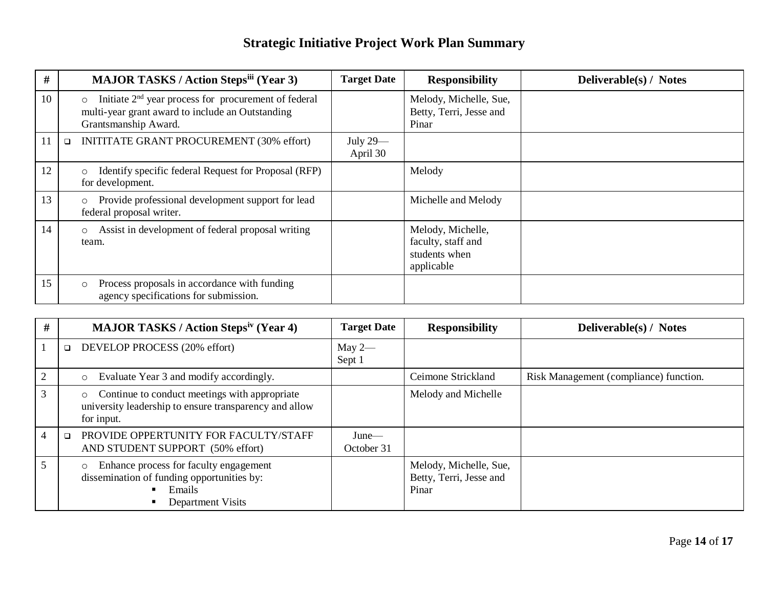| #  | <b>MAJOR TASKS / Action Stepsiii (Year 3)</b>                                                                                                           | <b>Target Date</b>   | <b>Responsibility</b>                                                  | Deliverable(s) / Notes |
|----|---------------------------------------------------------------------------------------------------------------------------------------------------------|----------------------|------------------------------------------------------------------------|------------------------|
| 10 | Initiate 2 <sup>nd</sup> year process for procurement of federal<br>$\circ$<br>multi-year grant award to include an Outstanding<br>Grantsmanship Award. |                      | Melody, Michelle, Sue,<br>Betty, Terri, Jesse and<br>Pinar             |                        |
| 11 | INITITATE GRANT PROCUREMENT (30% effort)<br>$\Box$                                                                                                      | July 29-<br>April 30 |                                                                        |                        |
| 12 | Identify specific federal Request for Proposal (RFP)<br>$\circ$<br>for development.                                                                     |                      | Melody                                                                 |                        |
| 13 | Provide professional development support for lead<br>$\circ$<br>federal proposal writer.                                                                |                      | Michelle and Melody                                                    |                        |
| 14 | Assist in development of federal proposal writing<br>$\circ$<br>team.                                                                                   |                      | Melody, Michelle,<br>faculty, staff and<br>students when<br>applicable |                        |
| 15 | Process proposals in accordance with funding<br>$\circ$<br>agency specifications for submission.                                                        |                      |                                                                        |                        |

| #              | <b>MAJOR TASKS / Action Stepsiv (Year 4)</b>                                                                                     | <b>Target Date</b>     | <b>Responsibility</b>                                      | <b>Deliverable(s) / Notes</b>          |
|----------------|----------------------------------------------------------------------------------------------------------------------------------|------------------------|------------------------------------------------------------|----------------------------------------|
|                | DEVELOP PROCESS (20% effort)<br>$\Box$                                                                                           | May $2-$<br>Sept 1     |                                                            |                                        |
|                | Evaluate Year 3 and modify accordingly.<br>$\circ$                                                                               |                        | Ceimone Strickland                                         | Risk Management (compliance) function. |
|                | Continue to conduct meetings with appropriate<br>$\circ$<br>university leadership to ensure transparency and allow<br>for input. |                        | Melody and Michelle                                        |                                        |
| $\overline{4}$ | PROVIDE OPPERTUNITY FOR FACULTY/STAFF<br>$\Box$<br>AND STUDENT SUPPORT (50% effort)                                              | $June$ —<br>October 31 |                                                            |                                        |
|                | Enhance process for faculty engagement<br>$\circ$<br>dissemination of funding opportunities by:<br>Emails<br>Department Visits   |                        | Melody, Michelle, Sue,<br>Betty, Terri, Jesse and<br>Pinar |                                        |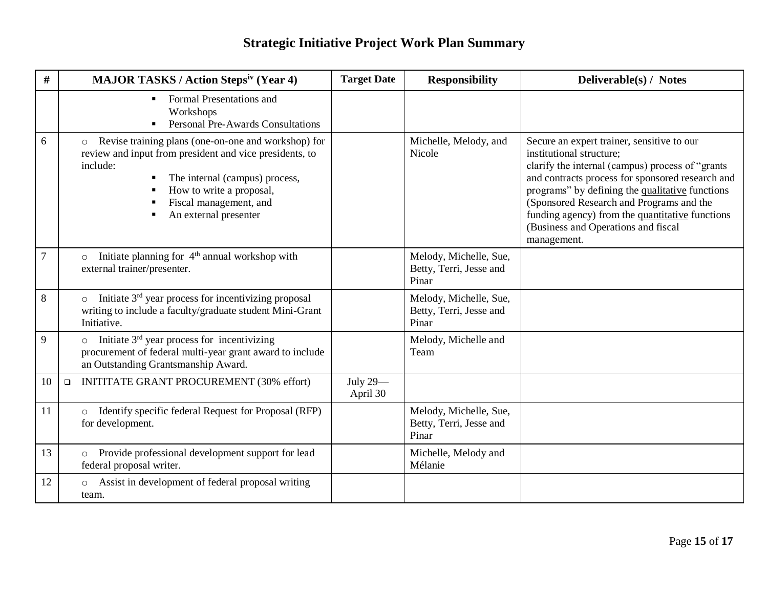| #      | <b>MAJOR TASKS / Action Stepsiv (Year 4)</b>                                                                                                                                                                                                           | <b>Target Date</b>   | <b>Responsibility</b>                                      | Deliverable(s) / Notes                                                                                                                                                                                                                                                                                                                                                                  |
|--------|--------------------------------------------------------------------------------------------------------------------------------------------------------------------------------------------------------------------------------------------------------|----------------------|------------------------------------------------------------|-----------------------------------------------------------------------------------------------------------------------------------------------------------------------------------------------------------------------------------------------------------------------------------------------------------------------------------------------------------------------------------------|
|        | Formal Presentations and<br>٠<br>Workshops<br><b>Personal Pre-Awards Consultations</b>                                                                                                                                                                 |                      |                                                            |                                                                                                                                                                                                                                                                                                                                                                                         |
| 6      | Revise training plans (one-on-one and workshop) for<br>$\circ$<br>review and input from president and vice presidents, to<br>include:<br>The internal (campus) process,<br>How to write a proposal,<br>Fiscal management, and<br>An external presenter |                      | Michelle, Melody, and<br>Nicole                            | Secure an expert trainer, sensitive to our<br>institutional structure;<br>clarify the internal (campus) process of "grants"<br>and contracts process for sponsored research and<br>programs" by defining the qualitative functions<br>(Sponsored Research and Programs and the<br>funding agency) from the quantitative functions<br>(Business and Operations and fiscal<br>management. |
| $\tau$ | Initiate planning for 4 <sup>th</sup> annual workshop with<br>$\circ$<br>external trainer/presenter.                                                                                                                                                   |                      | Melody, Michelle, Sue,<br>Betty, Terri, Jesse and<br>Pinar |                                                                                                                                                                                                                                                                                                                                                                                         |
| 8      | Initiate 3 <sup>rd</sup> year process for incentivizing proposal<br>$\circ$<br>writing to include a faculty/graduate student Mini-Grant<br>Initiative.                                                                                                 |                      | Melody, Michelle, Sue,<br>Betty, Terri, Jesse and<br>Pinar |                                                                                                                                                                                                                                                                                                                                                                                         |
| 9      | Initiate $3rd$ year process for incentivizing<br>procurement of federal multi-year grant award to include<br>an Outstanding Grantsmanship Award.                                                                                                       |                      | Melody, Michelle and<br>Team                               |                                                                                                                                                                                                                                                                                                                                                                                         |
| 10     | <b>INITITATE GRANT PROCUREMENT (30% effort)</b><br>$\Box$                                                                                                                                                                                              | July 29-<br>April 30 |                                                            |                                                                                                                                                                                                                                                                                                                                                                                         |
| 11     | o Identify specific federal Request for Proposal (RFP)<br>for development.                                                                                                                                                                             |                      | Melody, Michelle, Sue,<br>Betty, Terri, Jesse and<br>Pinar |                                                                                                                                                                                                                                                                                                                                                                                         |
| 13     | Provide professional development support for lead<br>$\circ$<br>federal proposal writer.                                                                                                                                                               |                      | Michelle, Melody and<br>Mélanie                            |                                                                                                                                                                                                                                                                                                                                                                                         |
| 12     | Assist in development of federal proposal writing<br>$\circ$<br>team.                                                                                                                                                                                  |                      |                                                            |                                                                                                                                                                                                                                                                                                                                                                                         |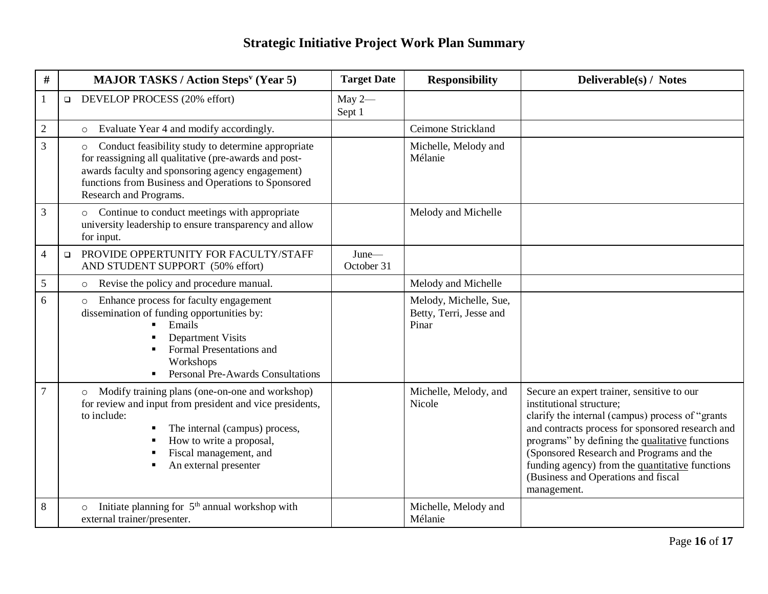| #              | <b>MAJOR TASKS / Action Steps<sup>v</sup> (Year 5)</b>                                                                                                                                                                                                                                | <b>Target Date</b>     | <b>Responsibility</b>                                      | Deliverable(s) / Notes                                                                                                                                                                                                                                                                                                                                                                 |
|----------------|---------------------------------------------------------------------------------------------------------------------------------------------------------------------------------------------------------------------------------------------------------------------------------------|------------------------|------------------------------------------------------------|----------------------------------------------------------------------------------------------------------------------------------------------------------------------------------------------------------------------------------------------------------------------------------------------------------------------------------------------------------------------------------------|
| $\mathbf{1}$   | DEVELOP PROCESS (20% effort)<br>$\Box$                                                                                                                                                                                                                                                | May $2-$<br>Sept 1     |                                                            |                                                                                                                                                                                                                                                                                                                                                                                        |
| $\overline{2}$ | Evaluate Year 4 and modify accordingly.<br>$\circ$                                                                                                                                                                                                                                    |                        | Ceimone Strickland                                         |                                                                                                                                                                                                                                                                                                                                                                                        |
| 3              | Conduct feasibility study to determine appropriate<br>$\circ$<br>for reassigning all qualitative (pre-awards and post-<br>awards faculty and sponsoring agency engagement)<br>functions from Business and Operations to Sponsored<br>Research and Programs.                           |                        | Michelle, Melody and<br>Mélanie                            |                                                                                                                                                                                                                                                                                                                                                                                        |
| $\mathfrak{Z}$ | o Continue to conduct meetings with appropriate<br>university leadership to ensure transparency and allow<br>for input.                                                                                                                                                               |                        | Melody and Michelle                                        |                                                                                                                                                                                                                                                                                                                                                                                        |
| $\overline{4}$ | PROVIDE OPPERTUNITY FOR FACULTY/STAFF<br>$\Box$<br>AND STUDENT SUPPORT (50% effort)                                                                                                                                                                                                   | $June$ —<br>October 31 |                                                            |                                                                                                                                                                                                                                                                                                                                                                                        |
| $\mathfrak{S}$ | Revise the policy and procedure manual.<br>$\circ$                                                                                                                                                                                                                                    |                        | Melody and Michelle                                        |                                                                                                                                                                                                                                                                                                                                                                                        |
| 6              | Enhance process for faculty engagement<br>$\circ$<br>dissemination of funding opportunities by:<br>Emails<br>$\blacksquare$<br><b>Department Visits</b><br>П<br>Formal Presentations and<br>$\blacksquare$<br>Workshops<br><b>Personal Pre-Awards Consultations</b><br>$\blacksquare$ |                        | Melody, Michelle, Sue,<br>Betty, Terri, Jesse and<br>Pinar |                                                                                                                                                                                                                                                                                                                                                                                        |
| $\tau$         | Modify training plans (one-on-one and workshop)<br>$\circ$<br>for review and input from president and vice presidents,<br>to include:<br>The internal (campus) process,<br>How to write a proposal,<br>п<br>Fiscal management, and<br>An external presenter                           |                        | Michelle, Melody, and<br>Nicole                            | Secure an expert trainer, sensitive to our<br>institutional structure;<br>clarify the internal (campus) process of "grants<br>and contracts process for sponsored research and<br>programs" by defining the qualitative functions<br>(Sponsored Research and Programs and the<br>funding agency) from the quantitative functions<br>(Business and Operations and fiscal<br>management. |
| 8              | Initiate planning for 5 <sup>th</sup> annual workshop with<br>$\circ$<br>external trainer/presenter.                                                                                                                                                                                  |                        | Michelle, Melody and<br>Mélanie                            |                                                                                                                                                                                                                                                                                                                                                                                        |